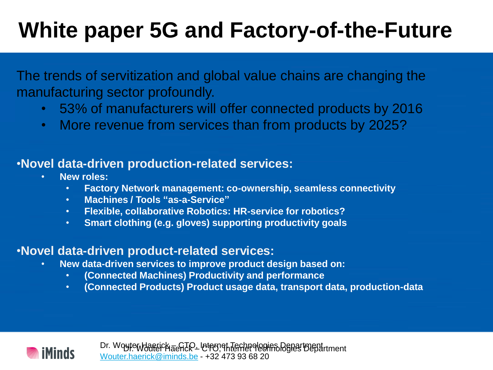The trends of servitization and global value chains are changing the manufacturing sector profoundly.

- 53% of manufacturers will offer connected products by 2016
- More revenue from services than from products by 2025?

### •**Novel data-driven production-related services:**

- **New roles:**
	- **Factory Network management: co-ownership, seamless connectivity**
	- **Machines / Tools "as-a-Service"**
	- **Flexible, collaborative Robotics: HR-service for robotics?**
	- **Smart clothing (e.g. gloves) supporting productivity goals**

### •**Novel data-driven product-related services:**

- **New data-driven services to improve product design based on:**
	- **(Connected Machines) Productivity and performance**
	- **(Connected Products) Product usage data, transport data, production-data**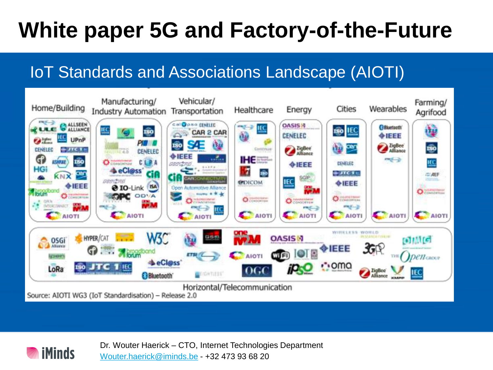## IoT Standards and Associations Landscape (AIOTI)



Dr. Wouter Haerick – CTO, Internet Technologies Department [Wouter.haerick@iminds.be](mailto:Wouter.haerick@iminds.be) - +32 473 93 68 20

**iMinds**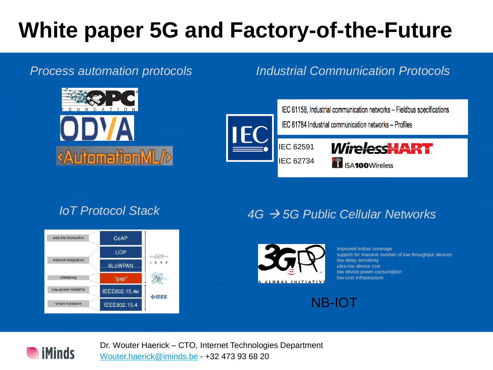

### *Process automation protocols Industrial Communication Protocols*



IEC 62591 IEC 62734 *WirelessHART* **18 ISA100**Wireless



## *IoT Protocol Stack 4G 5G Public Cellular Networks*



improved indoor coverage support for massive number of low throughput devices low delay sensitivity ultra-low device cost low device power consumption low-cost infrastructure





Dr. Wouter Haerick – CTO, Internet Technologies Department [Wouter.haerick@iminds.be](mailto:Wouter.haerick@iminds.be) - +32 473 93 68 20